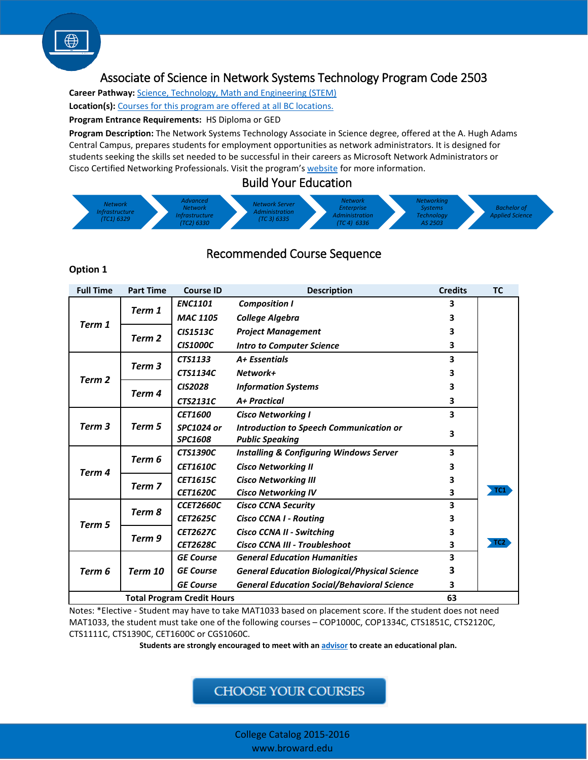# [As](http://www.broward.edu/academics/programs/Pages/science-technology-math-engineering-STEM.aspx)sociate of Science in Network Systems Technology Program Code 2503

**Career Pathway:** [Science, Technology, Math and Engineering \(STEM\)](http://www.broward.edu/academics/programs/Pages/science-technology-math-engineering-STEM.aspx) **Location(s):** [Courses for this program are offered at all BC locations.](http://www.broward.edu/locations/Pages/default.aspx)

#### **Program Entrance Requirements:** HS Diploma or GED

**Program Description:** The Network Systems Technology Associate in Science degree, offered at the A. Hugh Adams Central Campus, prepares students for employment opportunities as network administrators. It is designed for students seeking the skills set needed to be successful in their careers as Microsoft Network Administrators or Cisco Certified Networking Professionals. Visit the program's [website](http://www.broward.edu/academics/programs/computer/Pages/default.aspx) for more information.

### Build Your Education



## Recommended Course Sequence

#### **Option 1**

| <b>Full Time</b>                  | <b>Part Time</b>  | <b>Course ID</b>  | <b>Description</b>                                   | <b>Credits</b> | <b>TC</b>       |
|-----------------------------------|-------------------|-------------------|------------------------------------------------------|----------------|-----------------|
| Term 1                            | Term 1            | <b>ENC1101</b>    | <b>Composition I</b>                                 | 3              |                 |
|                                   |                   | <b>MAC 1105</b>   | <b>College Algebra</b>                               | 3              |                 |
|                                   | Term 2            | <b>CIS1513C</b>   | <b>Project Management</b>                            | 3              |                 |
|                                   |                   | <b>CIS1000C</b>   | <b>Intro to Computer Science</b>                     | 3              |                 |
| Term 2                            | Term <sub>3</sub> | CTS1133           | A+ Essentials                                        | 3              |                 |
|                                   |                   | <b>CTS1134C</b>   | Network+                                             | 3              |                 |
|                                   | Term 4            | <b>CIS2028</b>    | <b>Information Systems</b>                           | 3              |                 |
|                                   |                   | <b>CTS2131C</b>   | A+ Practical                                         | 3              |                 |
| Term <sub>3</sub>                 | Term 5            | <b>CET1600</b>    | <b>Cisco Networking I</b>                            | 3              |                 |
|                                   |                   | <b>SPC1024 or</b> | Introduction to Speech Communication or              | 3              |                 |
|                                   |                   | <b>SPC1608</b>    | <b>Public Speaking</b>                               |                |                 |
| Term 4                            | Term <sub>6</sub> | <b>CTS1390C</b>   | <b>Installing &amp; Configuring Windows Server</b>   | 3              |                 |
|                                   |                   | <b>CET1610C</b>   | <b>Cisco Networking II</b>                           | 3              |                 |
|                                   | Term 7            | <b>CET1615C</b>   | <b>Cisco Networking III</b>                          | 3              |                 |
|                                   |                   | <b>CET1620C</b>   | <b>Cisco Networking IV</b>                           | 3              | TC1             |
| Term 5                            | Term 8            | <b>CCET2660C</b>  | <b>Cisco CCNA Security</b>                           | 3              |                 |
|                                   |                   | <b>CET2625C</b>   | <b>Cisco CCNA I - Routing</b>                        | 3              |                 |
|                                   | Term 9            | <b>CET2627C</b>   | Cisco CCNA II - Switching                            | 3              |                 |
|                                   |                   | <b>CET2628C</b>   | Cisco CCNA III - Troubleshoot                        | 3              | TC <sub>2</sub> |
| Term 6                            | Term 10           | <b>GE Course</b>  | <b>General Education Humanities</b>                  | 3              |                 |
|                                   |                   | <b>GE Course</b>  | <b>General Education Biological/Physical Science</b> | 3              |                 |
|                                   |                   | <b>GE Course</b>  | <b>General Education Social/Behavioral Science</b>   | 3              |                 |
| <b>Total Program Credit Hours</b> |                   |                   |                                                      |                |                 |

Notes: \*Elective - Student may have to take MAT1033 based on placement score. If the student does not need MAT1033, the student must take one of the following courses – COP1000C, COP1334C, CTS1851C, CTS2120C, CTS1111C, CTS1390C, CET1600C or CGS1060C.

 **Students are strongly encouraged to meet with an [advisor](http://www.broward.edu/studentresources/advising/Pages/default.aspx) to create an educational plan.**

**CHOOSE YOUR COURSES** 

College Catalog 2015-2016 www.broward.edu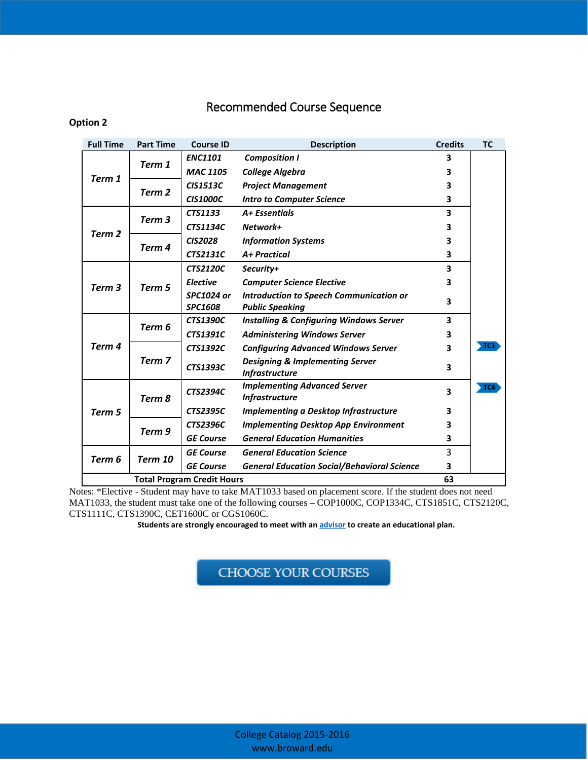# Recommended Course Sequence

### **Option 2**

| <b>Full Time</b>                  | <b>Part Time</b> | <b>Course ID</b>  | <b>Description</b>                                                  | <b>Credits</b>          | <b>TC</b> |
|-----------------------------------|------------------|-------------------|---------------------------------------------------------------------|-------------------------|-----------|
| Term 1                            | Term 1           | <b>ENC1101</b>    | <b>Composition I</b>                                                | 3                       |           |
|                                   |                  | <b>MAC 1105</b>   | <b>College Algebra</b>                                              | 3                       |           |
|                                   | Term 2           | <b>CIS1513C</b>   | <b>Project Management</b>                                           | 3                       |           |
|                                   |                  | <b>CIS1000C</b>   | <b>Intro to Computer Science</b>                                    | 3                       |           |
| Term <sub>2</sub>                 | Term 3           | CTS1133           | A+ Essentials                                                       | 3                       |           |
|                                   |                  | <b>CTS1134C</b>   | Network+                                                            | 3                       |           |
|                                   | Term 4           | <b>CIS2028</b>    | <b>Information Systems</b>                                          | 3                       |           |
|                                   |                  | <b>CTS2131C</b>   | A+ Practical                                                        | 3                       |           |
| Term 3                            | Term 5           | <b>CTS2120C</b>   | Security+                                                           | 3                       |           |
|                                   |                  | <b>Elective</b>   | <b>Computer Science Elective</b>                                    | 3                       |           |
|                                   |                  | <b>SPC1024 or</b> | Introduction to Speech Communication or                             | 3                       |           |
|                                   |                  | <b>SPC1608</b>    | <b>Public Speaking</b>                                              |                         |           |
| Term 4                            | Term 6           | <b>CTS1390C</b>   | <b>Installing &amp; Configuring Windows Server</b>                  | $\overline{\mathbf{3}}$ |           |
|                                   |                  | <b>CTS1391C</b>   | <b>Administering Windows Server</b>                                 | 3                       |           |
|                                   | Term 7           | <b>CTS1392C</b>   | <b>Configuring Advanced Windows Server</b>                          | 3                       | TC3       |
|                                   |                  | <b>CTS1393C</b>   | <b>Designing &amp; Implementing Server</b><br><b>Infrastructure</b> | 3                       |           |
| Term 5                            | Term 8           | <b>CTS2394C</b>   | <b>Implementing Advanced Server</b><br><b>Infrastructure</b>        | 3                       | TC4       |
|                                   |                  | <b>CTS2395C</b>   | <b>Implementing a Desktop Infrastructure</b>                        | 3                       |           |
|                                   | Term 9           | <b>CTS2396C</b>   | <b>Implementing Desktop App Environment</b>                         | 3                       |           |
|                                   |                  | <b>GE Course</b>  | <b>General Education Humanities</b>                                 | 3                       |           |
| Term 6                            | Term 10          | <b>GE Course</b>  | <b>General Education Science</b>                                    | 3                       |           |
|                                   |                  | <b>GE Course</b>  | <b>General Education Social/Behavioral Science</b>                  | 3                       |           |
| <b>Total Program Credit Hours</b> |                  |                   |                                                                     |                         |           |

Notes: \*Elective - Student may have to take MAT1033 based on placement score. If the student does not need MAT1033, the student must take one of the following courses – COP1000C, COP1334C, CTS1851C, CTS2120C, CTS1111C, CTS1390C, CET1600C or CGS1060C.

 **Students are strongly encouraged to meet with a[n advisor](http://www.broward.edu/studentresources/advising/Pages/default.aspx) to create an educational plan.**

CHOOSEYOUR COURSES j